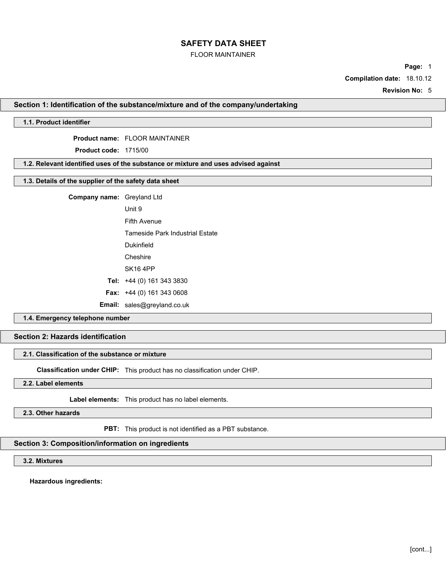## FLOOR MAINTAINER

**Page:** 1

**Compilation date:** 18.10.12

**Revision No:** 5

#### **Section 1: Identification of the substance/mixture and of the company/undertaking**

# **1.1. Product identifier**

#### **Product name:** FLOOR MAINTAINER

**Product code:** 1715/00

# **1.2. Relevant identified uses of the substance or mixture and uses advised against**

# **1.3. Details of the supplier of the safety data sheet**

**Company name:** Greyland Ltd

Unit 9

Fifth Avenue

Tameside Park Industrial Estate

Dukinfield

**Cheshire** 

SK16 4PP

**Tel:** +44 (0) 161 343 3830

**Fax:** +44 (0) 161 343 0608

**Email:** sales@greyland.co.uk

## **1.4. Emergency telephone number**

# **Section 2: Hazards identification**

## **2.1. Classification of the substance or mixture**

**Classification under CHIP:** This product has no classification under CHIP.

**2.2. Label elements**

**Label elements:** This product has no label elements.

**2.3. Other hazards**

**PBT:** This product is not identified as a PBT substance.

# **Section 3: Composition/information on ingredients**

# **3.2. Mixtures**

**Hazardous ingredients:**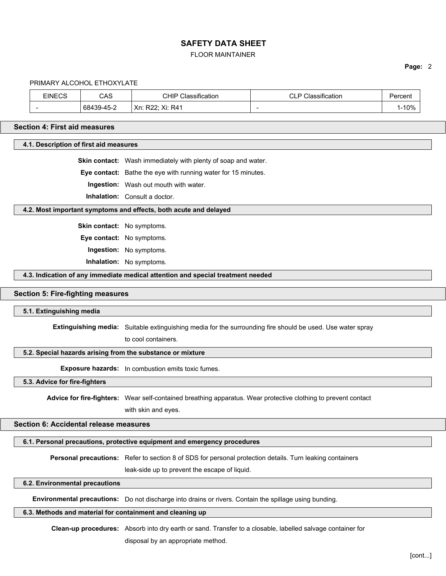### FLOOR MAINTAINER

#### **Page:** 2

#### PRIMARY ALCOHOL ETHOXYLATE

| EINECS | CAS        | <b>CHIP</b><br>Classification | <b>CLP Classification</b> | ≌ercent |
|--------|------------|-------------------------------|---------------------------|---------|
|        | 68439-45-2 | Xn: R22; Xi: R41              | -                         | $-10%$  |

### **Section 4: First aid measures**

### **4.1. Description of first aid measures**

**Skin contact:** Wash immediately with plenty of soap and water.

**Eye contact:** Bathe the eye with running water for 15 minutes.

**Ingestion:** Wash out mouth with water.

**Inhalation:** Consult a doctor.

#### **4.2. Most important symptoms and effects, both acute and delayed**

**Skin contact:** No symptoms.

**Eye contact:** No symptoms.

**Ingestion:** No symptoms.

**Inhalation:** No symptoms.

### **4.3. Indication of any immediate medical attention and special treatment needed**

#### **Section 5: Fire-fighting measures**

### **5.1. Extinguishing media**

**Extinguishing media:** Suitable extinguishing media for the surrounding fire should be used. Use water spray

to cool containers.

## **5.2. Special hazards arising from the substance or mixture**

**Exposure hazards:** In combustion emits toxic fumes.

**5.3. Advice for fire-fighters**

**Advice for fire-fighters:** Wear self-contained breathing apparatus. Wear protective clothing to prevent contact

with skin and eyes.

# **Section 6: Accidental release measures**

# **6.1. Personal precautions, protective equipment and emergency procedures**

**Personal precautions:** Refer to section 8 of SDS for personal protection details. Turn leaking containers

leak-side up to prevent the escape of liquid.

# **6.2. Environmental precautions**

**Environmental precautions:** Do not discharge into drains or rivers. Contain the spillage using bunding.

# **6.3. Methods and material for containment and cleaning up**

**Clean-up procedures:** Absorb into dry earth or sand. Transfer to a closable, labelled salvage container for disposal by an appropriate method.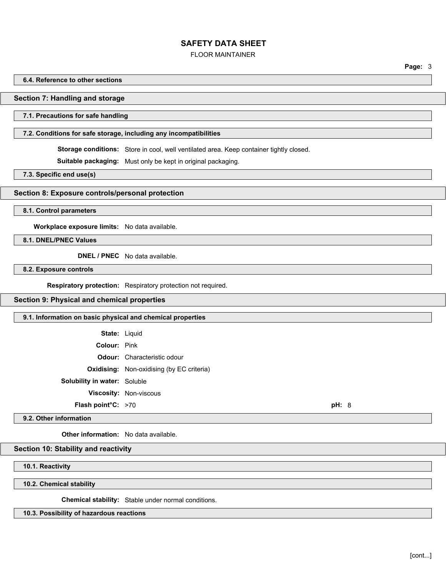## FLOOR MAINTAINER

**Page:** 3

#### **6.4. Reference to other sections**

#### **Section 7: Handling and storage**

## **7.1. Precautions for safe handling**

### **7.2. Conditions for safe storage, including any incompatibilities**

**Storage conditions:** Store in cool, well ventilated area. Keep container tightly closed.

**Suitable packaging:** Must only be kept in original packaging.

**7.3. Specific end use(s)**

#### **Section 8: Exposure controls/personal protection**

**8.1. Control parameters**

**Workplace exposure limits:** No data available.

**8.1. DNEL/PNEC Values**

**DNEL / PNEC** No data available.

**8.2. Exposure controls**

**Respiratory protection:** Respiratory protection not required.

**Section 9: Physical and chemical properties**

## **9.1. Information on basic physical and chemical properties**

**State:** Liquid **Colour:** Pink **Odour:** Characteristic odour **Oxidising:** Non-oxidising (by EC criteria) **Solubility in water:** Soluble **Viscosity:** Non-viscous **Flash point°C:** >70 **pH:** 8

# **9.2. Other information**

**Other information:** No data available.

## **Section 10: Stability and reactivity**

**10.1. Reactivity**

**10.2. Chemical stability**

**Chemical stability:** Stable under normal conditions.

### **10.3. Possibility of hazardous reactions**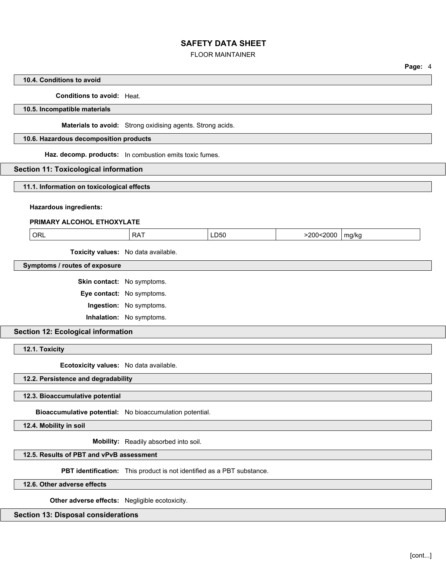## FLOOR MAINTAINER

### **Page:** 4

# **10.4. Conditions to avoid**

## **Conditions to avoid:** Heat.

#### **10.5. Incompatible materials**

**Materials to avoid:** Strong oxidising agents. Strong acids.

#### **10.6. Hazardous decomposition products**

**Haz. decomp. products:** In combustion emits toxic fumes.

## **Section 11: Toxicological information**

#### **11.1. Information on toxicological effects**

#### **Hazardous ingredients:**

## **PRIMARY ALCOHOL ETHOXYLATE**

| ORL | <b>RAT</b> | LD50 | 200<2000> | ma/ka |  |
|-----|------------|------|-----------|-------|--|
|     |            |      |           | .     |  |

**Toxicity values:** No data available.

## **Symptoms / routes of exposure**

**Skin contact:** No symptoms.

**Eye contact:** No symptoms.

**Ingestion:** No symptoms.

**Inhalation:** No symptoms.

### **Section 12: Ecological information**

**12.1. Toxicity**

**Ecotoxicity values:** No data available.

#### **12.2. Persistence and degradability**

### **12.3. Bioaccumulative potential**

**Bioaccumulative potential:** No bioaccumulation potential.

**12.4. Mobility in soil**

**Mobility:** Readily absorbed into soil.

# **12.5. Results of PBT and vPvB assessment**

**PBT identification:** This product is not identified as a PBT substance.

**12.6. Other adverse effects**

**Other adverse effects:** Negligible ecotoxicity.

#### **Section 13: Disposal considerations**